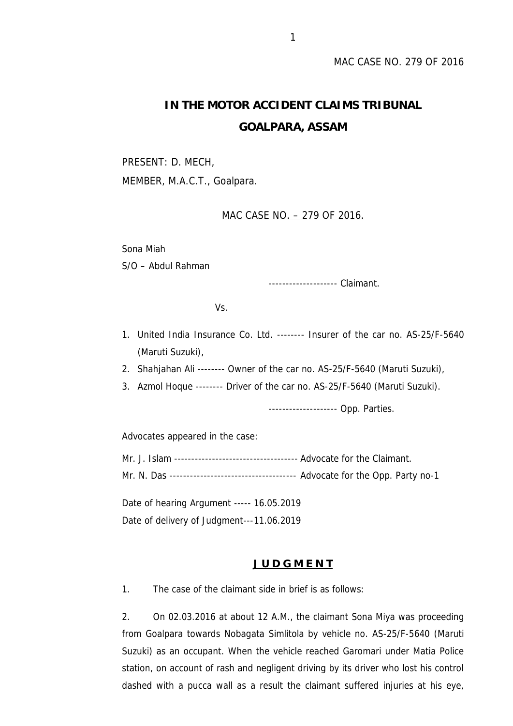# **IN THE MOTOR ACCIDENT CLAIMS TRIBUNAL GOALPARA, ASSAM**

PRESENT: D. MECH, MEMBER, M.A.C.T., Goalpara.

# MAC CASE NO. – 279 OF 2016.

Sona Miah

S/O – Abdul Rahman

-------------------- Claimant.

Vs.

- 1. United India Insurance Co. Ltd. -------- Insurer of the car no. AS-25/F-5640 (Maruti Suzuki),
- 2. Shahjahan Ali -------- Owner of the car no. AS-25/F-5640 (Maruti Suzuki),
- 3. Azmol Hoque -------- Driver of the car no. AS-25/F-5640 (Maruti Suzuki).

-------------------- Opp. Parties.

Advocates appeared in the case:

Mr. J. Islam ------------------------------------ Advocate for the Claimant. Mr. N. Das ------------------------------------- Advocate for the Opp. Party no-1

Date of hearing Argument ----- 16.05.2019 Date of delivery of Judgment---11.06.2019

### **J U D G M E N T**

1. The case of the claimant side in brief is as follows:

2. On 02.03.2016 at about 12 A.M., the claimant Sona Miya was proceeding from Goalpara towards Nobagata Simlitola by vehicle no. AS-25/F-5640 (Maruti Suzuki) as an occupant. When the vehicle reached Garomari under Matia Police station, on account of rash and negligent driving by its driver who lost his control dashed with a pucca wall as a result the claimant suffered injuries at his eye,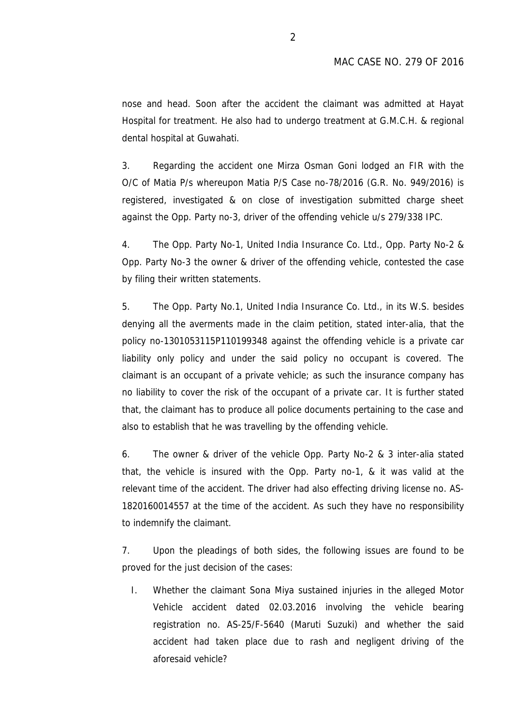nose and head. Soon after the accident the claimant was admitted at Hayat Hospital for treatment. He also had to undergo treatment at G.M.C.H. & regional dental hospital at Guwahati.

3. Regarding the accident one Mirza Osman Goni lodged an FIR with the O/C of Matia P/s whereupon Matia P/S Case no-78/2016 (G.R. No. 949/2016) is registered, investigated & on close of investigation submitted charge sheet against the Opp. Party no-3, driver of the offending vehicle u/s 279/338 IPC.

4. The Opp. Party No-1, United India Insurance Co. Ltd., Opp. Party No-2 & Opp. Party No-3 the owner & driver of the offending vehicle, contested the case by filing their written statements.

5. The Opp. Party No.1, United India Insurance Co. Ltd., in its W.S. besides denying all the averments made in the claim petition, stated inter-alia, that the policy no-1301053115P110199348 against the offending vehicle is a private car liability only policy and under the said policy no occupant is covered. The claimant is an occupant of a private vehicle; as such the insurance company has no liability to cover the risk of the occupant of a private car. It is further stated that, the claimant has to produce all police documents pertaining to the case and also to establish that he was travelling by the offending vehicle.

6. The owner & driver of the vehicle Opp. Party No-2 & 3 inter-alia stated that, the vehicle is insured with the Opp. Party no-1, & it was valid at the relevant time of the accident. The driver had also effecting driving license no. AS- 1820160014557 at the time of the accident. As such they have no responsibility to indemnify the claimant.

7. Upon the pleadings of both sides, the following issues are found to be proved for the just decision of the cases:

I. Whether the claimant Sona Miya sustained injuries in the alleged Motor Vehicle accident dated 02.03.2016 involving the vehicle bearing registration no. AS-25/F-5640 (Maruti Suzuki) and whether the said accident had taken place due to rash and negligent driving of the aforesaid vehicle?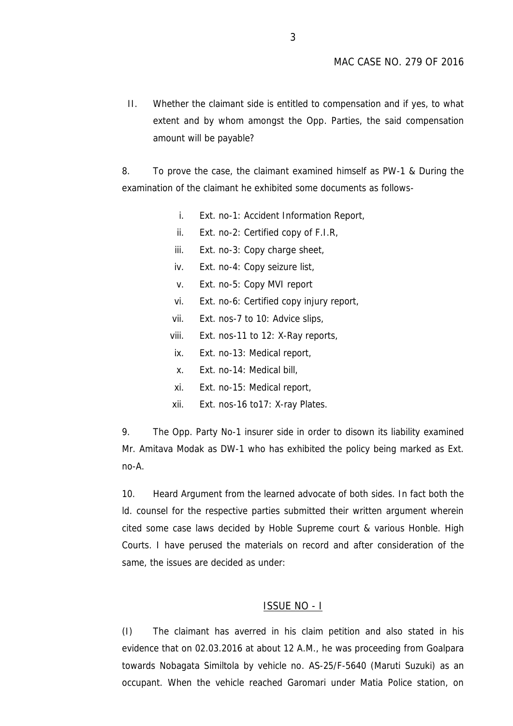II. Whether the claimant side is entitled to compensation and if yes, to what extent and by whom amongst the Opp. Parties, the said compensation amount will be payable?

8. To prove the case, the claimant examined himself as PW-1 & During the examination of the claimant he exhibited some documents as follows-

- i. Ext. no-1: Accident Information Report,
- ii. Ext. no-2: Certified copy of F.I.R,
- iii. Ext. no-3: Copy charge sheet,
- iv. Ext. no-4: Copy seizure list,
- v. Ext. no-5: Copy MVI report
- vi. Ext. no-6: Certified copy injury report,
- vii. Ext. nos-7 to 10: Advice slips,
- viii. Ext. nos-11 to 12: X-Ray reports,
- ix. Ext. no-13: Medical report,
- x. Ext. no-14: Medical bill,
- xi. Ext. no-15: Medical report,
- xii. Ext. nos-16 to17: X-ray Plates.

9. The Opp. Party No-1 insurer side in order to disown its liability examined Mr. Amitava Modak as DW-1 who has exhibited the policy being marked as Ext. no-A.

10. Heard Argument from the learned advocate of both sides. In fact both the ld. counsel for the respective parties submitted their written argument wherein cited some case laws decided by Hoble Supreme court & various Honble. High Courts. I have perused the materials on record and after consideration of the same, the issues are decided as under:

#### ISSUE NO - I

(I) The claimant has averred in his claim petition and also stated in his evidence that on 02.03.2016 at about 12 A.M., he was proceeding from Goalpara towards Nobagata Similtola by vehicle no. AS-25/F-5640 (Maruti Suzuki) as an occupant. When the vehicle reached Garomari under Matia Police station, on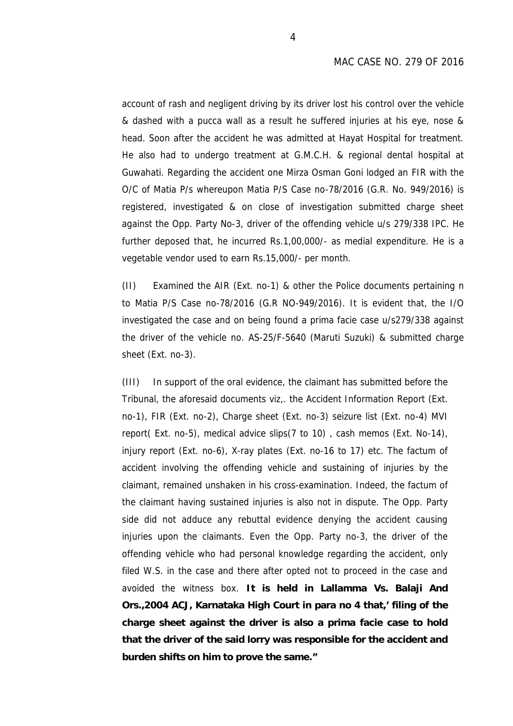account of rash and negligent driving by its driver lost his control over the vehicle & dashed with a pucca wall as a result he suffered injuries at his eye, nose & head. Soon after the accident he was admitted at Hayat Hospital for treatment. He also had to undergo treatment at G.M.C.H. & regional dental hospital at Guwahati. Regarding the accident one Mirza Osman Goni lodged an FIR with the O/C of Matia P/s whereupon Matia P/S Case no-78/2016 (G.R. No. 949/2016) is registered, investigated & on close of investigation submitted charge sheet against the Opp. Party No-3, driver of the offending vehicle u/s 279/338 IPC. He further deposed that, he incurred Rs.1,00,000/- as medial expenditure. He is a vegetable vendor used to earn Rs.15,000/- per month.

(II) Examined the AIR (Ext. no-1) & other the Police documents pertaining n to Matia P/S Case no-78/2016 (G.R NO-949/2016). It is evident that, the I/O investigated the case and on being found a prima facie case u/s279/338 against the driver of the vehicle no. AS-25/F-5640 (Maruti Suzuki) & submitted charge sheet (Ext. no-3).

(III) In support of the oral evidence, the claimant has submitted before the Tribunal, the aforesaid documents viz,. the Accident Information Report (Ext. no-1), FIR (Ext. no-2), Charge sheet (Ext. no-3) seizure list (Ext. no-4) MVI report( Ext. no-5), medical advice slips(7 to 10) , cash memos (Ext. No-14), injury report (Ext. no-6), X-ray plates (Ext. no-16 to 17) etc. The factum of accident involving the offending vehicle and sustaining of injuries by the claimant, remained unshaken in his cross-examination. Indeed, the factum of the claimant having sustained injuries is also not in dispute. The Opp. Party side did not adduce any rebuttal evidence denying the accident causing injuries upon the claimants. Even the Opp. Party no-3, the driver of the offending vehicle who had personal knowledge regarding the accident, only filed W.S. in the case and there after opted not to proceed in the case and avoided the witness box. *It is held in Lallamma Vs. Balaji And Ors.,2004 ACJ, Karnataka High Court in para no 4 that,' filing of the charge sheet against the driver is also a prima facie case to hold that the driver of the said lorry was responsible for the accident and burden shifts on him to prove the same."*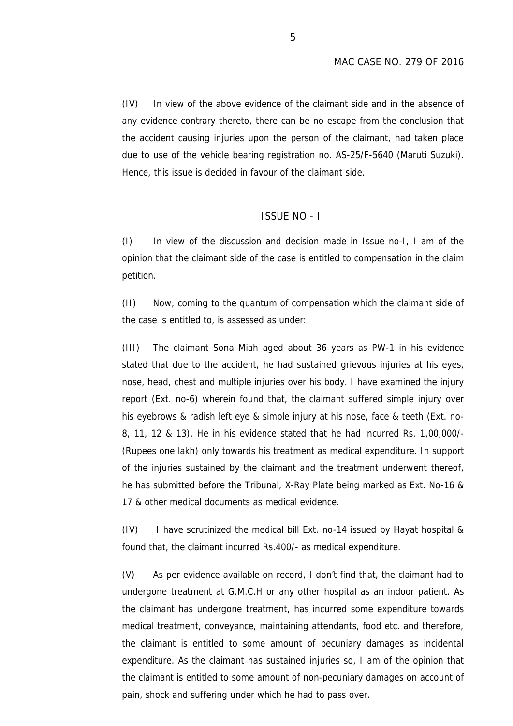(IV) In view of the above evidence of the claimant side and in the absence of any evidence contrary thereto, there can be no escape from the conclusion that the accident causing injuries upon the person of the claimant, had taken place due to use of the vehicle bearing registration no. AS-25/F-5640 (Maruti Suzuki). Hence, this issue is decided in favour of the claimant side.

## ISSUE NO - II

(I) In view of the discussion and decision made in Issue no-I, I am of the opinion that the claimant side of the case is entitled to compensation in the claim petition.

(II) Now, coming to the quantum of compensation which the claimant side of the case is entitled to, is assessed as under:

(III) The claimant Sona Miah aged about 36 years as PW-1 in his evidence stated that due to the accident, he had sustained grievous injuries at his eyes, nose, head, chest and multiple injuries over his body. I have examined the injury report (Ext. no-6) wherein found that, the claimant suffered simple injury over his eyebrows & radish left eye & simple injury at his nose, face & teeth (Ext. no- 8, 11, 12 & 13). He in his evidence stated that he had incurred Rs. 1,00,000/- (Rupees one lakh) only towards his treatment as medical expenditure. In support of the injuries sustained by the claimant and the treatment underwent thereof, he has submitted before the Tribunal, X-Ray Plate being marked as Ext. No-16 & 17 & other medical documents as medical evidence.

(IV) I have scrutinized the medical bill Ext. no-14 issued by Hayat hospital & found that, the claimant incurred Rs.400/- as medical expenditure.

(V) As per evidence available on record, I don't find that, the claimant had to undergone treatment at G.M.C.H or any other hospital as an indoor patient. As the claimant has undergone treatment, has incurred some expenditure towards medical treatment, conveyance, maintaining attendants, food etc. and therefore, the claimant is entitled to some amount of pecuniary damages as incidental expenditure. As the claimant has sustained injuries so, I am of the opinion that the claimant is entitled to some amount of non-pecuniary damages on account of pain, shock and suffering under which he had to pass over.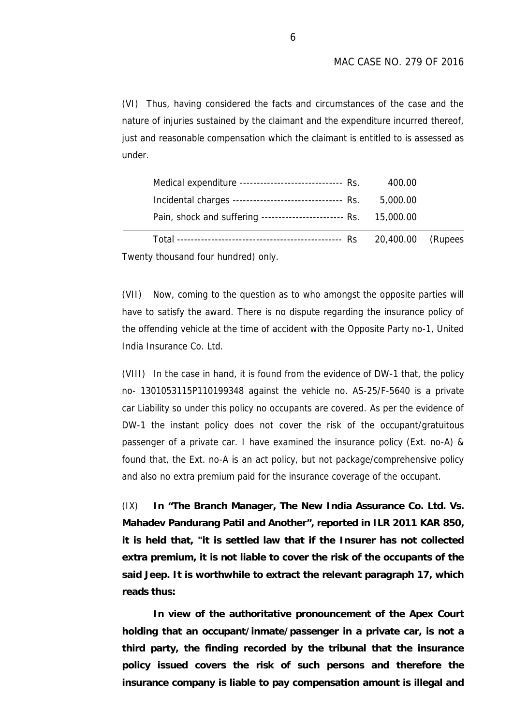(VI) Thus, having considered the facts and circumstances of the case and the nature of injuries sustained by the claimant and the expenditure incurred thereof, just and reasonable compensation which the claimant is entitled to is assessed as under.

| Pain, shock and suffering ------------------------- Rs. 15,000.00 |          |  |
|-------------------------------------------------------------------|----------|--|
| Incidental charges -------------------------------- Rs.           | 5,000.00 |  |
| Medical expenditure ------------------------------ Rs.            | 400.00   |  |

Twenty thousand four hundred) only.

(VII) Now, coming to the question as to who amongst the opposite parties will have to satisfy the award. There is no dispute regarding the insurance policy of the offending vehicle at the time of accident with the Opposite Party no-1, United India Insurance Co. Ltd.

(VIII) In the case in hand, it is found from the evidence of DW-1 that, the policy no- 1301053115P110199348 against the vehicle no. AS-25/F-5640 is a private car Liability so under this policy no occupants are covered. As per the evidence of DW-1 the instant policy does not cover the risk of the occupant/gratuitous passenger of a private car. I have examined the insurance policy (Ext. no-A) & found that, the Ext. no-A is an act policy, but not package/comprehensive policy and also no extra premium paid for the insurance coverage of the occupant.

(IX) **In "The Branch Manager, The New India Assurance Co. Ltd. Vs. Mahadev Pandurang Patil and Another", reported in ILR 2011 KAR 850, it is held that, "it is settled law that if the Insurer has not collected extra premium, it is not liable to cover the risk of the occupants of the said Jeep. It is worthwhile to extract the relevant paragraph 17, which reads thus:**

**In view of the authoritative pronouncement of the Apex Court holding that an occupant/inmate/passenger in a private car, is not a third party, the finding recorded by the tribunal that the insurance policy issued covers the risk of such persons and therefore the insurance company is liable to pay compensation amount is illegal and**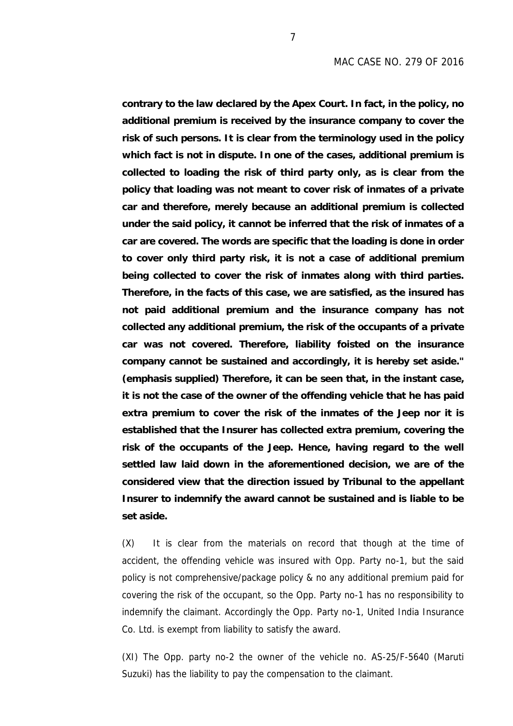**contrary to the law declared by the Apex Court. In fact, in the policy, no additional premium is received by the insurance company to cover the risk of such persons. It is clear from the terminology used in the policy which fact is not in dispute. In one of the cases, additional premium is collected to loading the risk of third party only, as is clear from the policy that loading was not meant to cover risk of inmates of a private car and therefore, merely because an additional premium is collected under the said policy, it cannot be inferred that the risk of inmates of a car are covered. The words are specific that the loading is done in order to cover only third party risk, it is not a case of additional premium being collected to cover the risk of inmates along with third parties. Therefore, in the facts of this case, we are satisfied, as the insured has not paid additional premium and the insurance company has not collected any additional premium, the risk of the occupants of a private car was not covered. Therefore, liability foisted on the insurance company cannot be sustained and accordingly, it is hereby set aside." (emphasis supplied) Therefore, it can be seen that, in the instant case, it is not the case of the owner of the offending vehicle that he has paid extra premium to cover the risk of the inmates of the Jeep nor it is established that the Insurer has collected extra premium, covering the risk of the occupants of the Jeep. Hence, having regard to the well settled law laid down in the aforementioned decision, we are of the considered view that the direction issued by Tribunal to the appellant Insurer to indemnify the award cannot be sustained and is liable to be set aside.**

(X) It is clear from the materials on record that though at the time of accident, the offending vehicle was insured with Opp. Party no-1, but the said policy is not comprehensive/package policy & no any additional premium paid for covering the risk of the occupant, so the Opp. Party no-1 has no responsibility to indemnify the claimant. Accordingly the Opp. Party no-1, United India Insurance Co. Ltd. is exempt from liability to satisfy the award.

(XI) The Opp. party no-2 the owner of the vehicle no. AS-25/F-5640 (Maruti Suzuki) has the liability to pay the compensation to the claimant.